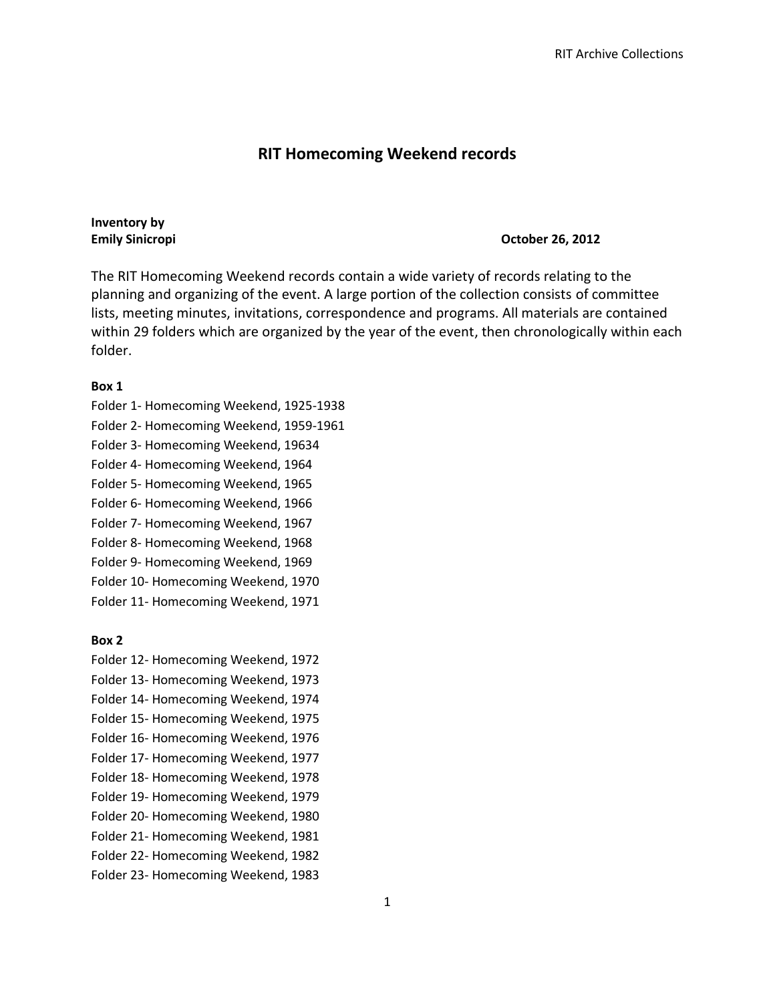## **RIT Homecoming Weekend records**

# **Inventory by**

#### **Emily Sinicropi October 26, 2012**

The RIT Homecoming Weekend records contain a wide variety of records relating to the planning and organizing of the event. A large portion of the collection consists of committee lists, meeting minutes, invitations, correspondence and programs. All materials are contained within 29 folders which are organized by the year of the event, then chronologically within each folder.

#### **Box 1**

- Folder 1- Homecoming Weekend, 1925-1938
- Folder 2- Homecoming Weekend, 1959-1961
- Folder 3- Homecoming Weekend, 19634
- Folder 4- Homecoming Weekend, 1964
- Folder 5- Homecoming Weekend, 1965
- Folder 6- Homecoming Weekend, 1966
- Folder 7- Homecoming Weekend, 1967
- Folder 8- Homecoming Weekend, 1968
- Folder 9- Homecoming Weekend, 1969
- Folder 10- Homecoming Weekend, 1970
- Folder 11- Homecoming Weekend, 1971

### **Box 2**

- Folder 12- Homecoming Weekend, 1972
- Folder 13- Homecoming Weekend, 1973
- Folder 14- Homecoming Weekend, 1974
- Folder 15- Homecoming Weekend, 1975 Folder 16- Homecoming Weekend, 1976
- Folder 17- Homecoming Weekend, 1977
- Folder 18- Homecoming Weekend, 1978
- Folder 19- Homecoming Weekend, 1979
- Folder 20- Homecoming Weekend, 1980
- Folder 21- Homecoming Weekend, 1981
- Folder 22- Homecoming Weekend, 1982
- Folder 23- Homecoming Weekend, 1983